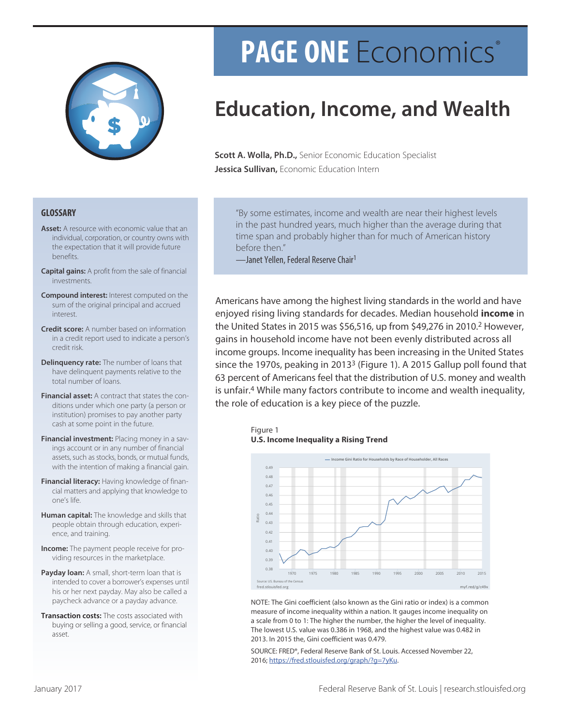

# PAGE ONE Economics®

# **Education, Income, and Wealth**

Scott A. Wolla, Ph.D., Senior Economic Education Specialist Jessica Sullivan, Economic Education Intern

#### **GLOSSARY**

- Asset: A resource with economic value that an individual, corporation, or country owns with the expectation that it will provide future **henefits**
- **Capital gains:** A profit from the sale of financial investments.
- **Compound interest:** Interest computed on the sum of the original principal and accrued interest.
- **Credit score:** A number based on information in a credit report used to indicate a person's credit risk.
- Delinquency rate: The number of loans that have delinquent payments relative to the total number of loans
- Financial asset: A contract that states the conditions under which one party (a person or institution) promises to pay another party cash at some point in the future.
- Financial investment: Placing money in a savings account or in any number of financial assets, such as stocks, bonds, or mutual funds, with the intention of making a financial gain.
- Financial literacy: Having knowledge of financial matters and applying that knowledge to one's life.
- Human capital: The knowledge and skills that people obtain through education, experience, and training.
- **Income:** The payment people receive for providing resources in the marketplace.
- Payday loan: A small, short-term loan that is intended to cover a borrower's expenses until his or her next payday. May also be called a paycheck advance or a payday advance.
- Transaction costs: The costs associated with buying or selling a good, service, or financial asset.

"By some estimates, income and wealth are near their highest levels in the past hundred years, much higher than the average during that time span and probably higher than for much of American history before then."

-Janet Yellen, Federal Reserve Chair<sup>1</sup>

Americans have among the highest living standards in the world and have enjoyed rising living standards for decades. Median household income in the United States in 2015 was \$56,516, up from \$49,276 in 2010.<sup>2</sup> However, gains in household income have not been evenly distributed across all income groups. Income inequality has been increasing in the United States since the 1970s, peaking in 2013<sup>3</sup> (Figure 1). A 2015 Gallup poll found that 63 percent of Americans feel that the distribution of U.S. money and wealth is unfair.<sup>4</sup> While many factors contribute to income and wealth inequality, the role of education is a key piece of the puzzle.





NOTE: The Gini coefficient (also known as the Gini ratio or index) is a common measure of income inequality within a nation. It gauges income inequality on a scale from 0 to 1: The higher the number, the higher the level of inequality. The lowest U.S. value was 0.386 in 1968, and the highest value was 0.482 in 2013. In 2015 the, Gini coefficient was 0.479.

SOURCE: FRED®, Federal Reserve Bank of St. Louis. Accessed November 22, 2016; https://fred.stlouisfed.org/graph/?g=7yKu.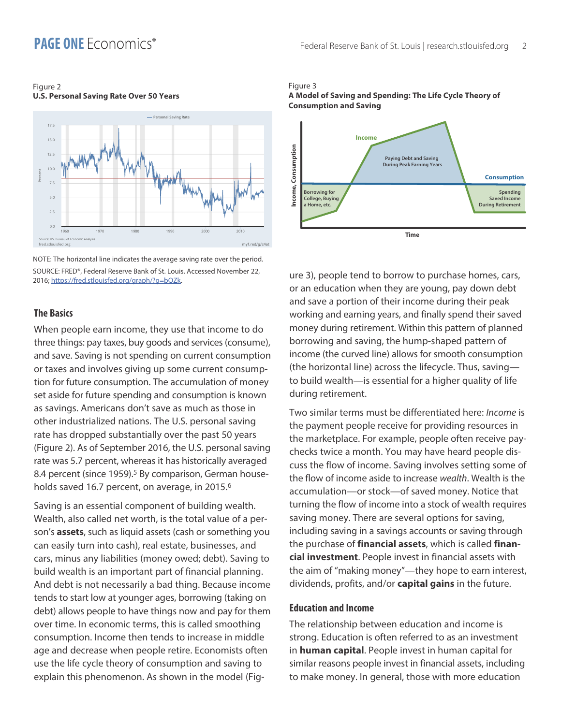### **PAGE ONE** Fronomics<sup>®</sup>

#### Figure 2 **U.S. Personal Saving Rate Over 50 Years**



NOTE: The horizontal line indicates the average saving rate over the period. SOURCE: FRED®, Federal Reserve Bank of St. Louis, Accessed November 22. 2016; https://fred.stlouisfed.org/graph/?g=bQZk.

#### **The Basics**

When people earn income, they use that income to do three things: pay taxes, buy goods and services (consume), and save. Saving is not spending on current consumption or taxes and involves giving up some current consumption for future consumption. The accumulation of money set aside for future spending and consumption is known as savings. Americans don't save as much as those in other industrialized nations. The U.S. personal saving rate has dropped substantially over the past 50 years (Figure 2). As of September 2016, the U.S. personal saving rate was 5.7 percent, whereas it has historically averaged 8.4 percent (since 1959).<sup>5</sup> By comparison, German households saved 16.7 percent, on average, in 2015.<sup>6</sup>

Saving is an essential component of building wealth. Wealth, also called net worth, is the total value of a person's assets, such as liquid assets (cash or something you can easily turn into cash), real estate, businesses, and cars, minus any liabilities (money owed; debt). Saving to build wealth is an important part of financial planning. And debt is not necessarily a bad thing. Because income tends to start low at younger ages, borrowing (taking on debt) allows people to have things now and pay for them over time. In economic terms, this is called smoothing consumption. Income then tends to increase in middle age and decrease when people retire. Economists often use the life cycle theory of consumption and saving to explain this phenomenon. As shown in the model (Fig-

#### Figure 3 A Model of Saving and Spending: The Life Cycle Theory of **Consumption and Saving**



ure 3), people tend to borrow to purchase homes, cars, or an education when they are young, pay down debt and save a portion of their income during their peak working and earning years, and finally spend their saved money during retirement. Within this pattern of planned borrowing and saving, the hump-shaped pattern of income (the curved line) allows for smooth consumption (the horizontal line) across the lifecycle. Thus, savingto build wealth-is essential for a higher quality of life during retirement.

Two similar terms must be differentiated here: *Income* is the payment people receive for providing resources in the marketplace. For example, people often receive paychecks twice a month. You may have heard people discuss the flow of income. Saving involves setting some of the flow of income aside to increase wealth. Wealth is the accumulation-or stock-of saved money. Notice that turning the flow of income into a stock of wealth requires saving money. There are several options for saving, including saving in a savings accounts or saving through the purchase of *financial assets*, which is called *finan*cial investment. People invest in financial assets with the aim of "making money"—they hope to earn interest, dividends, profits, and/or capital gains in the future.

#### **Education and Income**

The relationship between education and income is strong. Education is often referred to as an investment in **human capital**. People invest in human capital for similar reasons people invest in financial assets, including to make money. In general, those with more education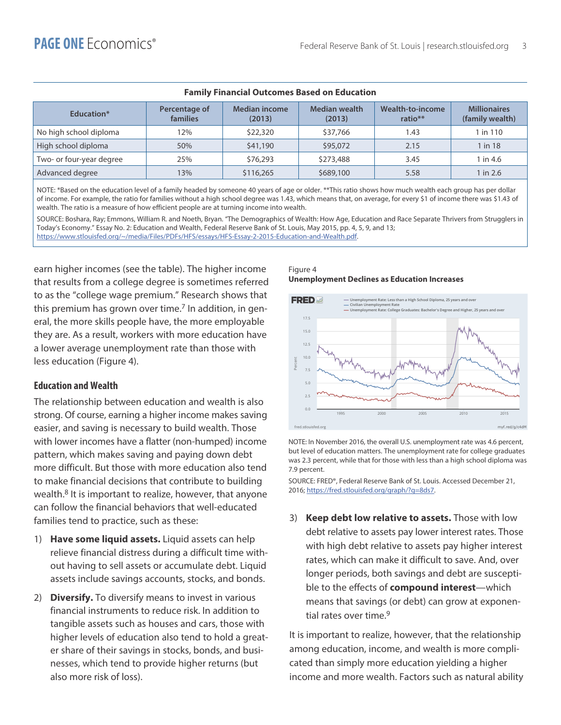| i anniy i mancial Outcomes Dasea on Euucation |                           |                                |                                |                             |                                        |  |  |
|-----------------------------------------------|---------------------------|--------------------------------|--------------------------------|-----------------------------|----------------------------------------|--|--|
| Education*                                    | Percentage of<br>families | <b>Median income</b><br>(2013) | <b>Median wealth</b><br>(2013) | Wealth-to-income<br>ratio** | <b>Millionaires</b><br>(family wealth) |  |  |
| No high school diploma                        | 12%                       | \$22,320                       | \$37,766                       | 1.43                        | 1 in 110                               |  |  |
| High school diploma                           | 50%                       | \$41,190                       | \$95,072                       | 2.15                        | 1 in 18                                |  |  |
| Two- or four-year degree                      | 25%                       | \$76,293                       | \$273,488                      | 3.45                        | 1 in 4.6                               |  |  |
| Advanced degree                               | 13%                       | \$116,265                      | \$689,100                      | 5.58                        | 1 in 2.6                               |  |  |

#### **Eamily Einancial Outcomes Rased on Education**

NOTE: \*Based on the education level of a family headed by someone 40 years of age or older. \*\*This ratio shows how much wealth each group has per dollar of income. For example, the ratio for families without a high school degree was 1.43, which means that, on average, for every \$1 of income there was \$1.43 of wealth. The ratio is a measure of how efficient people are at turning income into wealth.

SOURCE: Boshara, Ray; Emmons, William R. and Noeth, Bryan. "The Demographics of Wealth: How Age, Education and Race Separate Thrivers from Strugglers in Today's Economy." Essay No. 2: Education and Wealth, Federal Reserve Bank of St. Louis, May 2015, pp. 4, 5, 9, and 13; https://www.stlouisfed.org/~/media/Files/PDFs/HFS/essays/HFS-Essay-2-2015-Education-and-Wealth.pdf.

earn higher incomes (see the table). The higher income that results from a college degree is sometimes referred to as the "college wage premium." Research shows that this premium has grown over time.<sup>7</sup> In addition, in general, the more skills people have, the more employable they are. As a result, workers with more education have a lower average unemployment rate than those with less education (Figure 4).

#### **Education and Wealth**

The relationship between education and wealth is also strong. Of course, earning a higher income makes saving easier, and saving is necessary to build wealth. Those with lower incomes have a flatter (non-humped) income pattern, which makes saving and paying down debt more difficult. But those with more education also tend to make financial decisions that contribute to building wealth.<sup>8</sup> It is important to realize, however, that anyone can follow the financial behaviors that well-educated families tend to practice, such as these:

- 1) Have some liquid assets. Liquid assets can help relieve financial distress during a difficult time without having to sell assets or accumulate debt. Liquid assets include savings accounts, stocks, and bonds.
- 2) Diversify. To diversify means to invest in various financial instruments to reduce risk. In addition to tangible assets such as houses and cars, those with higher levels of education also tend to hold a greater share of their savings in stocks, bonds, and businesses, which tend to provide higher returns (but also more risk of loss).

#### Figure 4 **Unemployment Declines as Education Increases**



NOTE: In November 2016, the overall U.S. unemployment rate was 4.6 percent, but level of education matters. The unemployment rate for college graduates was 2.3 percent, while that for those with less than a high school diploma was 7.9 percent.

SOURCE: FRED®, Federal Reserve Bank of St. Louis. Accessed December 21, 2016; https://fred.stlouisfed.org/graph/?g=8ds7.

3) Keep debt low relative to assets. Those with low debt relative to assets pay lower interest rates. Those with high debt relative to assets pay higher interest rates, which can make it difficult to save. And, over longer periods, both savings and debt are susceptible to the effects of compound interest-which means that savings (or debt) can grow at exponential rates over time.<sup>9</sup>

It is important to realize, however, that the relationship among education, income, and wealth is more complicated than simply more education yielding a higher income and more wealth. Factors such as natural ability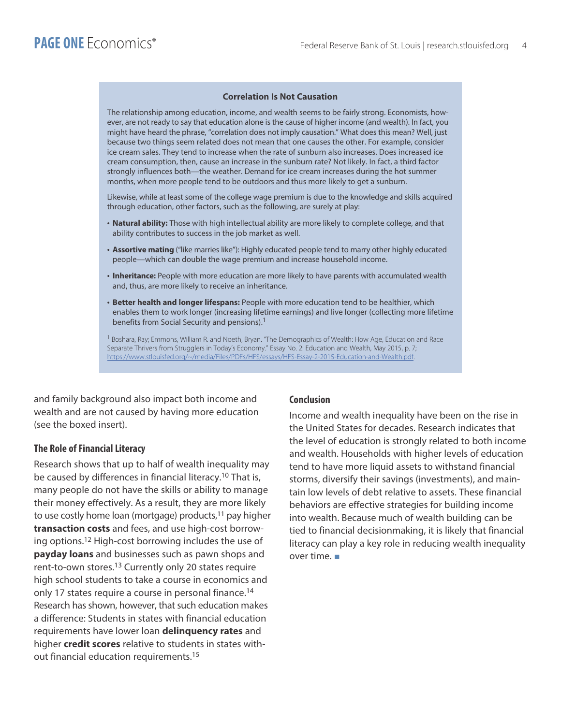#### **Correlation Is Not Causation**

The relationship among education, income, and wealth seems to be fairly strong. Economists, however, are not ready to say that education alone is the cause of higher income (and wealth). In fact, you might have heard the phrase, "correlation does not imply causation." What does this mean? Well, just because two things seem related does not mean that one causes the other. For example, consider ice cream sales. They tend to increase when the rate of sunburn also increases. Does increased ice cream consumption, then, cause an increase in the sunburn rate? Not likely. In fact, a third factor strongly influences both—the weather. Demand for ice cream increases during the hot summer months, when more people tend to be outdoors and thus more likely to get a sunburn.

Likewise, while at least some of the college wage premium is due to the knowledge and skills acquired through education, other factors, such as the following, are surely at play:

- . Natural ability: Those with high intellectual ability are more likely to complete college, and that ability contributes to success in the job market as well.
- . Assortive mating ("like marries like"): Highly educated people tend to marry other highly educated people—which can double the wage premium and increase household income.
- . Inheritance: People with more education are more likely to have parents with accumulated wealth and, thus, are more likely to receive an inheritance.
- . Better health and longer lifespans: People with more education tend to be healthier, which enables them to work longer (increasing lifetime earnings) and live longer (collecting more lifetime benefits from Social Security and pensions).<sup>1</sup>

<sup>1</sup> Boshara, Ray; Emmons, William R. and Noeth, Bryan. "The Demographics of Wealth: How Age, Education and Race Separate Thrivers from Strugglers in Today's Economy." Essay No. 2: Education and Wealth, May 2015, p. 7; https://www.stlouisfed.org/~/media/Files/PDFs/HFS/essays/HFS-Essay-2-2015-Education-and-Wealth.pdf.

and family background also impact both income and wealth and are not caused by having more education (see the boxed insert).

#### **The Role of Financial Literacy**

Research shows that up to half of wealth inequality may be caused by differences in financial literacy.<sup>10</sup> That is, many people do not have the skills or ability to manage their money effectively. As a result, they are more likely to use costly home loan (mortgage) products,<sup>11</sup> pay higher transaction costs and fees, and use high-cost borrowing options.<sup>12</sup> High-cost borrowing includes the use of payday loans and businesses such as pawn shops and rent-to-own stores.<sup>13</sup> Currently only 20 states require high school students to take a course in economics and only 17 states require a course in personal finance.<sup>14</sup> Research has shown, however, that such education makes a difference: Students in states with financial education requirements have lower loan delinguency rates and higher credit scores relative to students in states without financial education requirements.<sup>15</sup>

#### **Conclusion**

Income and wealth inequality have been on the rise in the United States for decades. Research indicates that the level of education is strongly related to both income and wealth. Households with higher levels of education tend to have more liquid assets to withstand financial storms, diversify their savings (investments), and maintain low levels of debt relative to assets. These financial behaviors are effective strategies for building income into wealth. Because much of wealth building can be tied to financial decisionmaking, it is likely that financial literacy can play a key role in reducing wealth inequality over time.  $\blacksquare$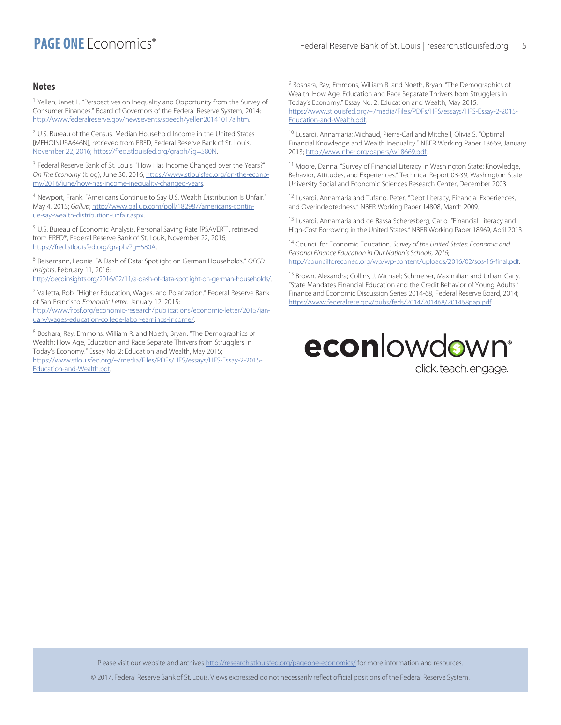## **PAGE ONE** Fronomirs®

#### **Notes**

<sup>1</sup> Yellen, Janet L. "Perspectives on Inequality and Opportunity from the Survey of Consumer Finances." Board of Governors of the Federal Reserve System, 2014; http://www.federalreserve.gov/newsevents/speech/yellen20141017a.htm.

<sup>2</sup> U.S. Bureau of the Census. Median Household Income in the United States [MEHOINUSA646N], retrieved from FRED, Federal Reserve Bank of St. Louis, November 22, 2016; https://fred.stlouisfed.org/graph/?g=580N.

<sup>3</sup> Federal Reserve Bank of St. Louis. "How Has Income Changed over the Years?" On The Economy (blog); June 30, 2016; https://www.stlouisfed.org/on-the-economy/2016/june/how-has-income-inequality-changed-years.

<sup>4</sup> Newport, Frank. "Americans Continue to Say U.S. Wealth Distribution Is Unfair." May 4, 2015; Gallup; http://www.gallup.com/poll/182987/americans-continue-say-wealth-distribution-unfair.aspx.

<sup>5</sup> U.S. Bureau of Economic Analysis, Personal Saving Rate [PSAVERT], retrieved from FRED®, Federal Reserve Bank of St. Louis, November 22, 2016; https://fred.stlouisfed.org/graph/?g=580A.

<sup>6</sup> Beisemann, Leonie. "A Dash of Data: Spotlight on German Households." OECD Insights, February 11, 2016;

http://oecdinsights.org/2016/02/11/a-dash-of-data-spotlight-on-german-households/.

<sup>7</sup> Valletta, Rob. "Higher Education, Wages, and Polarization." Federal Reserve Bank of San Francisco Economic Letter. January 12, 2015; http://www.frbsf.org/economic-research/publications/economic-letter/2015/jan-

uary/wages-education-college-labor-earnings-income/.

<sup>8</sup> Boshara, Ray; Emmons, William R. and Noeth, Bryan. "The Demographics of Wealth: How Age, Education and Race Separate Thrivers from Strugglers in Today's Economy." Essay No. 2: Education and Wealth, May 2015; https://www.stlouisfed.org/~/media/Files/PDFs/HFS/essays/HFS-Essay-2-2015-Education-and-Wealth.pdf.

<sup>9</sup> Boshara, Ray; Emmons, William R. and Noeth, Bryan. "The Demographics of Wealth: How Age, Education and Race Separate Thrivers from Strugglers in Today's Economy." Essay No. 2: Education and Wealth, May 2015; https://www.stlouisfed.org/~/media/Files/PDFs/HFS/essays/HFS-Essay-2-2015-Education-and-Wealth.pdf.

<sup>10</sup> Lusardi, Annamaria; Michaud, Pierre-Carl and Mitchell, Olivia S. "Optimal Financial Knowledge and Wealth Inequality." NBER Working Paper 18669, January 2013; http://www.nber.org/papers/w18669.pdf.

<sup>11</sup> Moore, Danna. "Survey of Financial Literacy in Washington State: Knowledge, Behavior, Attitudes, and Experiences." Technical Report 03-39, Washington State University Social and Economic Sciences Research Center, December 2003.

<sup>12</sup> Lusardi, Annamaria and Tufano, Peter. "Debt Literacy, Financial Experiences, and Overindebtedness." NBER Working Paper 14808, March 2009.

<sup>13</sup> Lusardi, Annamaria and de Bassa Scheresberg, Carlo. "Financial Literacy and High-Cost Borrowing in the United States." NBER Working Paper 18969, April 2013.

<sup>14</sup> Council for Economic Education. Survey of the United States: Economic and Personal Finance Education in Our Nation's Schools, 2016; http://councilforeconed.org/wp/wp-content/uploads/2016/02/sos-16-final.pdf.

<sup>15</sup> Brown, Alexandra; Collins, J. Michael; Schmeiser, Maximilian and Urban, Carly. "State Mandates Financial Education and the Credit Behavior of Young Adults." Finance and Economic Discussion Series 2014-68, Federal Reserve Board, 2014; https://www.federalrese.gov/pubs/feds/2014/201468/201468pap.pdf.



click teach engage.

Please visit our website and archives http://research.stlouisfed.org/pageone-economics/ for more information and resources.

@ 2017, Federal Reserve Bank of St. Louis. Views expressed do not necessarily reflect official positions of the Federal Reserve System.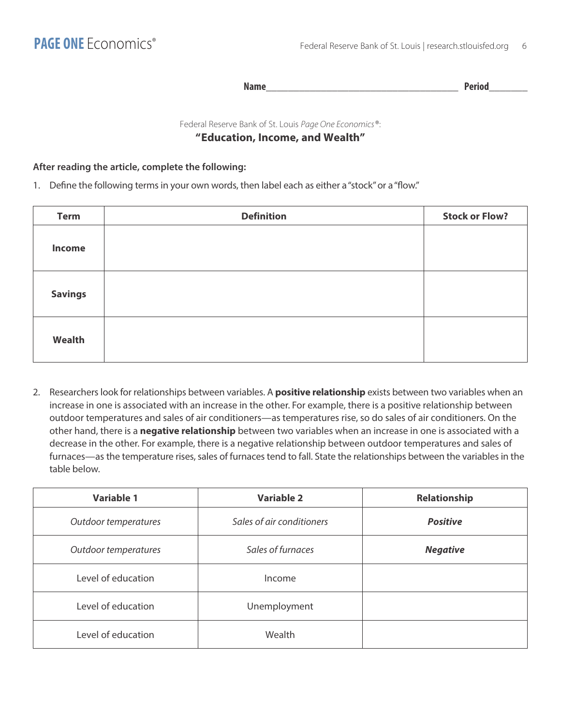**Name Period** 

Federal Reserve Bank of St. Louis Page One Economics®: "Education, Income, and Wealth"

#### After reading the article, complete the following:

1. Define the following terms in your own words, then label each as either a "stock" or a "flow."

| <b>Term</b>    | <b>Definition</b> | <b>Stock or Flow?</b> |
|----------------|-------------------|-----------------------|
| Income         |                   |                       |
| <b>Savings</b> |                   |                       |
| Wealth         |                   |                       |

2. Researchers look for relationships between variables. A positive relationship exists between two variables when an increase in one is associated with an increase in the other. For example, there is a positive relationship between outdoor temperatures and sales of air conditioners-as temperatures rise, so do sales of air conditioners. On the other hand, there is a negative relationship between two variables when an increase in one is associated with a decrease in the other. For example, there is a negative relationship between outdoor temperatures and sales of furnaces—as the temperature rises, sales of furnaces tend to fall. State the relationships between the variables in the table below.

| <b>Variable 1</b>    | <b>Variable 2</b>         | Relationship    |
|----------------------|---------------------------|-----------------|
| Outdoor temperatures | Sales of air conditioners | <b>Positive</b> |
| Outdoor temperatures | Sales of furnaces         | <b>Negative</b> |
| Level of education   | Income                    |                 |
| Level of education   | Unemployment              |                 |
| Level of education   | Wealth                    |                 |